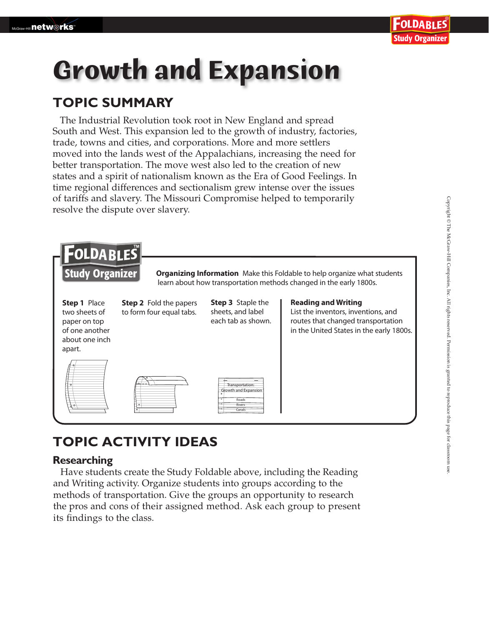# **Growth and Expansion**

### **TOPIC SUMMARY**

The Industrial Revolution took root in New England and spread South and West. This expansion led to the growth of industry, factories, trade, towns and cities, and corporations. More and more settlers moved into the lands west of the Appalachians, increasing the need for better transportation. The move west also led to the creation of new states and a spirit of nationalism known as the Era of Good Feelings. In time regional differences and sectionalism grew intense over the issues of tariffs and slavery. The Missouri Compromise helped to temporarily resolve the dispute over slavery.



## **TOPIC ACTIVITY IDEAS**

#### **Researching**

 Have students create the Study Foldable above, including the Reading and Writing activity. Organize students into groups according to the methods of transportation. Give the groups an opportunity to research the pros and cons of their assigned method. Ask each group to present its findings to the class.